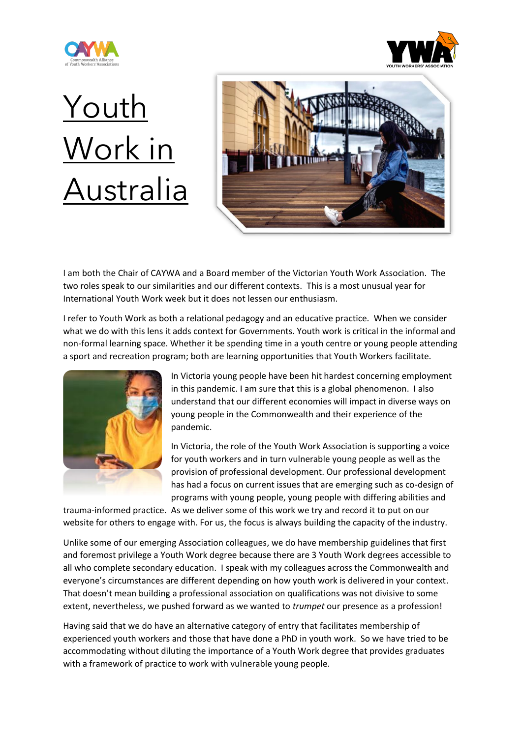



## **Youth** Work in Australia



I am both the Chair of CAYWA and a Board member of the Victorian Youth Work Association. The two roles speak to our similarities and our different contexts. This is a most unusual year for International Youth Work week but it does not lessen our enthusiasm.

I refer to Youth Work as both a relational pedagogy and an educative practice. When we consider what we do with this lens it adds context for Governments. Youth work is critical in the informal and non-formal learning space. Whether it be spending time in a youth centre or young people attending a sport and recreation program; both are learning opportunities that Youth Workers facilitate.



In Victoria young people have been hit hardest concerning employment in this pandemic. I am sure that this is a global phenomenon. I also understand that our different economies will impact in diverse ways on young people in the Commonwealth and their experience of the pandemic.

In Victoria, the role of the Youth Work Association is supporting a voice for youth workers and in turn vulnerable young people as well as the provision of professional development. Our professional development has had a focus on current issues that are emerging such as co-design of programs with young people, young people with differing abilities and

trauma-informed practice. As we deliver some of this work we try and record it to put on our website for others to engage with. For us, the focus is always building the capacity of the industry.

Unlike some of our emerging Association colleagues, we do have membership guidelines that first and foremost privilege a Youth Work degree because there are 3 Youth Work degrees accessible to all who complete secondary education. I speak with my colleagues across the Commonwealth and everyone's circumstances are different depending on how youth work is delivered in your context. That doesn't mean building a professional association on qualifications was not divisive to some extent, nevertheless, we pushed forward as we wanted to *trumpet* our presence as a profession!

Having said that we do have an alternative category of entry that facilitates membership of experienced youth workers and those that have done a PhD in youth work. So we have tried to be accommodating without diluting the importance of a Youth Work degree that provides graduates with a framework of practice to work with vulnerable young people.